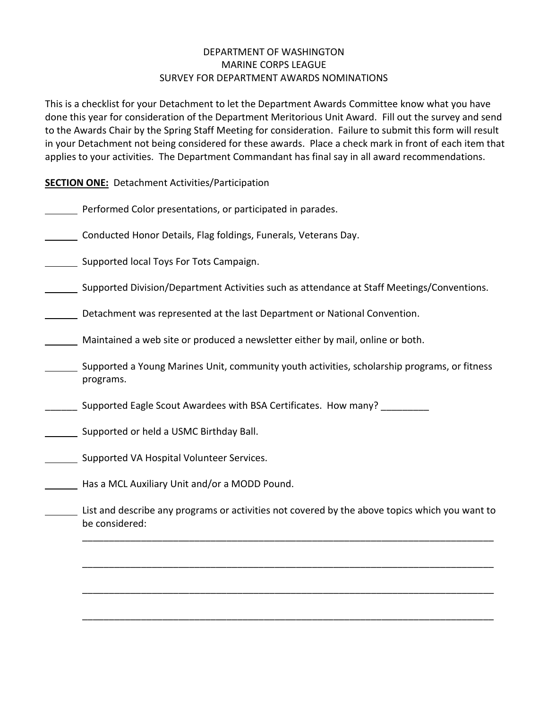## DEPARTMENT OF WASHINGTON MARINE CORPS LEAGUE SURVEY FOR DEPARTMENT AWARDS NOMINATIONS

This is a checklist for your Detachment to let the Department Awards Committee know what you have done this year for consideration of the Department Meritorious Unit Award. Fill out the survey and send to the Awards Chair by the Spring Staff Meeting for consideration. Failure to submit this form will result in your Detachment not being considered for these awards. Place a check mark in front of each item that applies to your activities. The Department Commandant has final say in all award recommendations.

**SECTION ONE:** Detachment Activities/Participation

- Performed Color presentations, or participated in parades.
- Conducted Honor Details, Flag foldings, Funerals, Veterans Day.

Supported local Toys For Tots Campaign.

- Supported Division/Department Activities such as attendance at Staff Meetings/Conventions.
- Detachment was represented at the last Department or National Convention.
- Maintained a web site or produced a newsletter either by mail, online or both.
- Supported a Young Marines Unit, community youth activities, scholarship programs, or fitness programs.
- Supported Eagle Scout Awardees with BSA Certificates. How many?
- Supported or held a USMC Birthday Ball.
- **Supported VA Hospital Volunteer Services.**
- Has a MCL Auxiliary Unit and/or a MODD Pound.
- List and describe any programs or activities not covered by the above topics which you want to be considered:

\_\_\_\_\_\_\_\_\_\_\_\_\_\_\_\_\_\_\_\_\_\_\_\_\_\_\_\_\_\_\_\_\_\_\_\_\_\_\_\_\_\_\_\_\_\_\_\_\_\_\_\_\_\_\_\_\_\_\_\_\_\_\_\_\_\_\_\_\_\_\_\_\_\_\_\_\_

\_\_\_\_\_\_\_\_\_\_\_\_\_\_\_\_\_\_\_\_\_\_\_\_\_\_\_\_\_\_\_\_\_\_\_\_\_\_\_\_\_\_\_\_\_\_\_\_\_\_\_\_\_\_\_\_\_\_\_\_\_\_\_\_\_\_\_\_\_\_\_\_\_\_\_\_\_

\_\_\_\_\_\_\_\_\_\_\_\_\_\_\_\_\_\_\_\_\_\_\_\_\_\_\_\_\_\_\_\_\_\_\_\_\_\_\_\_\_\_\_\_\_\_\_\_\_\_\_\_\_\_\_\_\_\_\_\_\_\_\_\_\_\_\_\_\_\_\_\_\_\_\_\_\_

\_\_\_\_\_\_\_\_\_\_\_\_\_\_\_\_\_\_\_\_\_\_\_\_\_\_\_\_\_\_\_\_\_\_\_\_\_\_\_\_\_\_\_\_\_\_\_\_\_\_\_\_\_\_\_\_\_\_\_\_\_\_\_\_\_\_\_\_\_\_\_\_\_\_\_\_\_